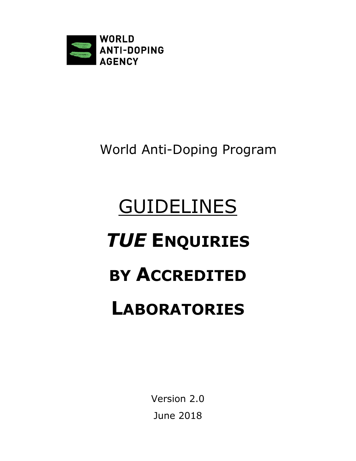

# World Anti-Doping Program

# GUIDELINES *TUE* **ENQUIRIES BY ACCREDITED LABORATORIES**

Version 2.0 June 2018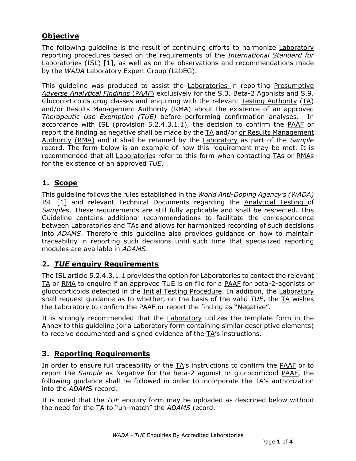## **Objective**

The following guideline is the result of continuing efforts to harmonize Laboratory reporting procedures based on the requirements of the *International Standard for*  Laboratories (ISL) [1], as well as on the observations and recommendations made by the *WADA* Laboratory Expert Group (LabEG).

This guideline was produced to assist the Laboratories in reporting Presumptive *Adverse Analytical Findings* (P*AAF*) exclusively for the S.3. Beta-2 Agonists and S.9. Glucocorticoids drug classes and enquiring with the relevant Testing Authority (TA) and/or Results Management Authority (RMA) about the existence of an approved *Therapeutic Use Exemption (TUE)* before performing confirmation analyses. In accordance with ISL (provision 5.2.4.3.1.1), the decision to confirm the PAAF or report the finding as negative shall be made by the  $TA$  and/or or Results Management Authority (RMA) and it shall be retained by the Laboratory as part of the *Sample*  record. The form below is an example of how this requirement may be met. It is recommended that all Laboratories refer to this form when contacting TAs or RMAs for the existence of an approved *TUE*.

### **1. Scope**

This guideline follows the rules established in the *World Anti-Doping Agency's (WADA)* ISL [1] and relevant Technical Documents regarding the Analytical Testing of *Sample*s. These requirements are still fully applicable and shall be respected. This Guideline contains additional recommendations to facilitate the correspondence between Laboratories and TAs and allows for harmonized recording of such decisions into *ADAMS*. Therefore this guideline also provides guidance on how to maintain traceability in reporting such decisions until such time that specialized reporting modules are available in *ADAMS*.

#### **2.** *TUE* **enquiry Requirements**

The ISL article 5.2.4.3.1.1 provides the option for Laboratories to contact the relevant TA or RMA to enquire if an approved TUE is on file for a PAAF for beta-2-agonists or glucocorticoids detected in the Initial Testing Procedure. In addition, the Laboratory shall request guidance as to whether, on the basis of the valid *TUE*, the TA wishes the Laboratory to confirm the PAAF or report the finding as "Negative".

It is strongly recommended that the Laboratory utilizes the template form in the Annex to this guideline (or a **Laboratory** form containing similar descriptive elements) to receive documented and signed evidence of the TA's instructions.

### **3. Reporting Requirements**

In order to ensure full traceability of the TA's instructions to confirm the PAAF or to report the *Sampl*e as Negative for the beta-2 agonist or glucocorticoid PAAF, the following guidance shall be followed in order to incorporate the TA's authorization into the *ADAM*S record.

It is noted that the *TUE* enquiry form may be uploaded as described below without the need for the TA to "un-match" the *ADAMS* record.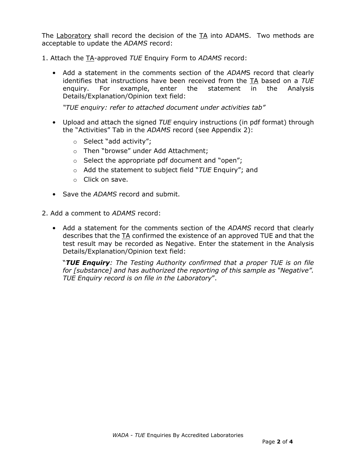The Laboratory shall record the decision of the TA into ADAMS. Two methods are acceptable to update the *ADAMS* record:

1. Attach the TA-approved *TUE* Enquiry Form to *ADAMS* record:

• Add a statement in the comments section of the *ADAM*S record that clearly identifies that instructions have been received from the TA based on a *TUE* enquiry. For example, enter the statement in the Analysis Details/Explanation/Opinion text field:

*"TUE enquiry: refer to attached document under activities tab"*

- Upload and attach the signed *TUE* enquiry instructions (in pdf format) through the "Activities" Tab in the *ADAMS* record (see Appendix 2):
	- o Select "add activity";
	- o Then "browse" under Add Attachment;
	- o Select the appropriate pdf document and "open";
	- o Add the statement to subject field "*TUE* Enquiry"; and
	- o Click on save.
- Save the *ADAMS* record and submit.
- 2. Add a comment to *ADAMS* record:
	- Add a statement for the comments section of the *ADAMS* record that clearly describes that the TA confirmed the existence of an approved TUE and that the test result may be recorded as Negative. Enter the statement in the Analysis Details/Explanation/Opinion text field:

"*TUE Enquiry: The Testing Authority confirmed that a proper TUE is on file for [substance] and has authorized the reporting of this sample as "Negative". TUE Enquiry record is on file in the Laboratory*".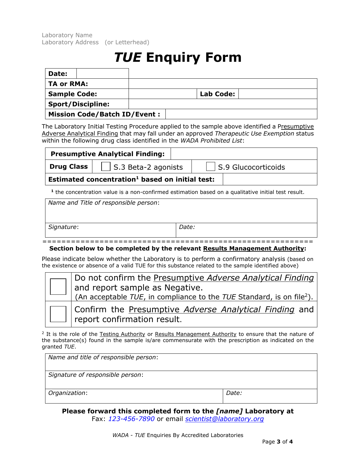Laboratory Name Laboratory Address (or Letterhead)

## *TUE* **Enquiry Form**

| Date:                    |                                     |  |                  |
|--------------------------|-------------------------------------|--|------------------|
| TA or RMA:               |                                     |  |                  |
| <b>Sample Code:</b>      |                                     |  | <b>Lab Code:</b> |
| <b>Sport/Discipline:</b> |                                     |  |                  |
|                          | <b>Mission Code/Batch ID/Event:</b> |  |                  |

The Laboratory Initial Testing Procedure applied to the sample above identified a Presumptive Adverse Analytical Finding that may fall under an approved *Therapeutic Use Exemption* status within the following drug class identified in the *WADA Prohibited List*:

|            | <b>Presumptive Analytical Finding:</b>                      |                             |
|------------|-------------------------------------------------------------|-----------------------------|
| Drug Class | $\vert$ S.3 Beta-2 agonists                                 | $\vert$ S.9 Glucocorticoids |
|            | Estimated concentration <sup>1</sup> based on initial test: |                             |
|            |                                                             |                             |

**<sup>1</sup>** the concentration value is a non-confirmed estimation based on a qualitative initial test result.

| Name and Title of responsible person: |       |
|---------------------------------------|-------|
|                                       |       |
| Signature:                            | Date: |
|                                       |       |

#### **Section below to be completed by the relevant Results Management Authority:**

Please indicate below whether the Laboratory is to perform a confirmatory analysis (based on the existence or absence of a valid TUE for this substance related to the sample identified above)

|  | Do not confirm the <b>Presumptive Adverse Analytical Finding</b>                                                    |
|--|---------------------------------------------------------------------------------------------------------------------|
|  | and report sample as Negative.<br>(An acceptable TUE, in compliance to the TUE Standard, is on file <sup>2</sup> ). |
|  |                                                                                                                     |
|  | Confirm the Presumptive Adverse Analytical Finding and                                                              |
|  | report confirmation result.                                                                                         |

<sup>2</sup> It is the role of the Testing Authority or Results Management Authority to ensure that the nature of the substance(s) found in the sample is/are commensurate with the prescription as indicated on the granted *TUE*.

| Name and title of responsible person: |       |
|---------------------------------------|-------|
| Signature of responsible person:      |       |
| Organization:                         | Date: |

**Please forward this completed form to the** *[name]* **Laboratory at** 

Fax: *123-456-7890* or email *scientist@laboratory.org*